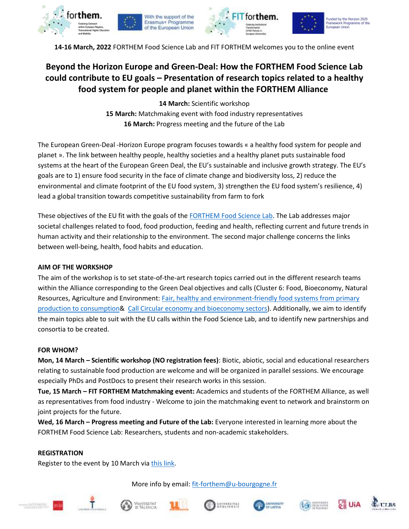



Funded by the Horizon 2020<br>Framework Programme of the European Union

**14-16 March, 2022** FORTHEM Food Science Lab and FIT FORTHEM welcomes you to the online event

# **Beyond the Horizon Europe and Green-Deal: How the FORTHEM Food Science Lab could contribute to EU goals – Presentation of research topics related to a healthy food system for people and planet within the FORTHEM Alliance**

**14 March:** Scientific workshop **15 March:** Matchmaking event with food industry representatives **16 March:** Progress meeting and the future of the Lab

The European Green-Deal -Horizon Europe program focuses towards « a healthy food system for people and planet ». The link between healthy people, healthy societies and a healthy planet puts sustainable food systems at the heart of the European Green Deal, the EU's sustainable and inclusive growth strategy. The EU's goals are to 1) ensure food security in the face of climate change and biodiversity loss, 2) reduce the environmental and climate footprint of the EU food system, 3) strengthen the EU food system's resilience, 4) lead a global transition towards competitive sustainability from farm to fork

These objectives of the EU fit with the goals of the [FORTHEM Food Science Lab.](https://www.forthem-alliance.eu/objectives/labs/food-science/) The Lab addresses major societal challenges related to food, food production, feeding and health, reflecting current and future trends in human activity and their relationship to the environment. The second major challenge concerns the links between well-being, health, food habits and education.

## **AIM OF THE WORKSHOP**

The aim of the workshop is to set state-of-the-art research topics carried out in the different research teams within the Alliance corresponding to the Green Deal objectives and calls (Cluster 6: Food, Bioeconomy, Natural Resources, Agriculture and Environment: [Fair, healthy and environment-friendly food systems from primary](https://ec.europa.eu/info/sites/default/files/research_and_innovation/events/documents/ec_rtd_destination-2-cluster-6-info-days-102021.pdf)  [production to consumption&](https://ec.europa.eu/info/sites/default/files/research_and_innovation/events/documents/ec_rtd_destination-2-cluster-6-info-days-102021.pdf) [Call Circular economy and bioeconomy sectors\)](https://ec.europa.eu/info/sites/default/files/research_and_innovation/events/documents/ec_rtd_destination-3-cluster-6-info-days-102021.pdf). Additionally, we aim to identify the main topics able to suit with the EU calls within the Food Science Lab, and to identify new partnerships and consortia to be created.

### **FOR WHOM?**

**Mon, 14 March – Scientific workshop (NO registration fees)**: Biotic, abiotic, social and educational researchers relating to sustainable food production are welcome and will be organized in parallel sessions. We encourage especially PhDs and PostDocs to present their research works in this session.

**Tue, 15 March – FIT FORTHEM Matchmaking event:** Academics and students of the FORTHEM Alliance, as well as representatives from food industry - Welcome to join the matchmaking event to network and brainstorm on joint projects for the future.

**Wed, 16 March – Progress meeting and Future of the Lab:** Everyone interested in learning more about the FORTHEM Food Science Lab: Researchers, students and non-academic stakeholders.

### **REGISTRATION**

Register to the event by 10 March vi[a this link.](https://sondages.u-bourgogne.fr/index.php/886788?lang=en)

More info by email: [fit-forthem@u-bourgogne.fr](mailto:fit-forthem@u-bourgogne.fr)